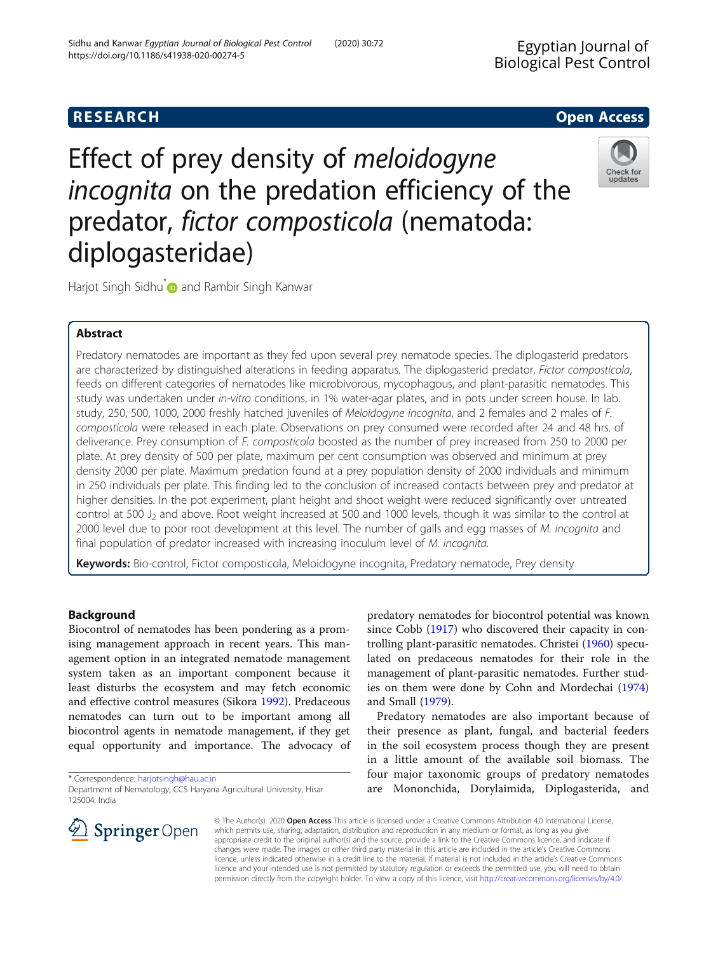# **RESEARCH CHE Open Access**

Effect of prey density of meloidogyne incognita on the predation efficiency of the predator, fictor composticola (nematoda: diplogasteridae)



Harjot Singh Sidhu<sup>\*</sup> and Rambir Singh Kanwar

## Abstract

Predatory nematodes are important as they fed upon several prey nematode species. The diplogasterid predators are characterized by distinguished alterations in feeding apparatus. The diplogasterid predator, Fictor composticola, feeds on different categories of nematodes like microbivorous, mycophagous, and plant-parasitic nematodes. This study was undertaken under in-vitro conditions, in 1% water-agar plates, and in pots under screen house. In lab. study, 250, 500, 1000, 2000 freshly hatched juveniles of Meloidogyne incognita, and 2 females and 2 males of F. composticola were released in each plate. Observations on prey consumed were recorded after 24 and 48 hrs. of deliverance. Prey consumption of F. composticola boosted as the number of prey increased from 250 to 2000 per plate. At prey density of 500 per plate, maximum per cent consumption was observed and minimum at prey density 2000 per plate. Maximum predation found at a prey population density of 2000 individuals and minimum in 250 individuals per plate. This finding led to the conclusion of increased contacts between prey and predator at higher densities. In the pot experiment, plant height and shoot weight were reduced significantly over untreated control at 500  $J_2$  and above. Root weight increased at 500 and 1000 levels, though it was similar to the control at 2000 level due to poor root development at this level. The number of galls and egg masses of M. incognita and final population of predator increased with increasing inoculum level of M. incognita.

Keywords: Bio-control, Fictor composticola, Meloidogyne incognita, Predatory nematode, Prey density

## Background

Biocontrol of nematodes has been pondering as a promising management approach in recent years. This management option in an integrated nematode management system taken as an important component because it least disturbs the ecosystem and may fetch economic and effective control measures (Sikora [1992](#page-5-0)). Predaceous nematodes can turn out to be important among all biocontrol agents in nematode management, if they get equal opportunity and importance. The advocacy of

\* Correspondence: [harjotsingh@hau.ac.in](mailto:harjotsingh@hau.ac.in)



Predatory nematodes are also important because of their presence as plant, fungal, and bacterial feeders in the soil ecosystem process though they are present in a little amount of the available soil biomass. The four major taxonomic groups of predatory nematodes are Mononchida, Dorylaimida, Diplogasterida, and



© The Author(s). 2020 Open Access This article is licensed under a Creative Commons Attribution 4.0 International License, which permits use, sharing, adaptation, distribution and reproduction in any medium or format, as long as you give appropriate credit to the original author(s) and the source, provide a link to the Creative Commons licence, and indicate if changes were made. The images or other third party material in this article are included in the article's Creative Commons licence, unless indicated otherwise in a credit line to the material. If material is not included in the article's Creative Commons licence and your intended use is not permitted by statutory regulation or exceeds the permitted use, you will need to obtain permission directly from the copyright holder. To view a copy of this licence, visit <http://creativecommons.org/licenses/by/4.0/>.

Department of Nematology, CCS Haryana Agricultural University, Hisar 125004, India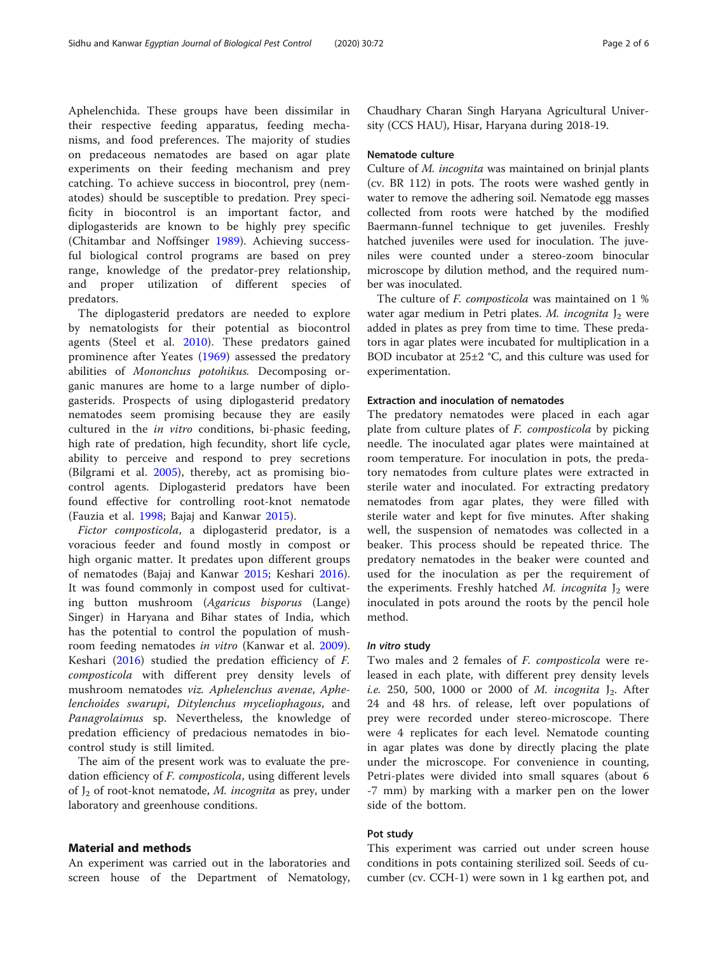Aphelenchida. These groups have been dissimilar in their respective feeding apparatus, feeding mechanisms, and food preferences. The majority of studies on predaceous nematodes are based on agar plate experiments on their feeding mechanism and prey catching. To achieve success in biocontrol, prey (nematodes) should be susceptible to predation. Prey specificity in biocontrol is an important factor, and diplogasterids are known to be highly prey specific (Chitambar and Noffsinger [1989\)](#page-5-0). Achieving successful biological control programs are based on prey range, knowledge of the predator-prey relationship, and proper utilization of different species of predators.

The diplogasterid predators are needed to explore by nematologists for their potential as biocontrol agents (Steel et al. [2010](#page-5-0)). These predators gained prominence after Yeates ([1969\)](#page-5-0) assessed the predatory abilities of Mononchus potohikus. Decomposing organic manures are home to a large number of diplogasterids. Prospects of using diplogasterid predatory nematodes seem promising because they are easily cultured in the in vitro conditions, bi-phasic feeding, high rate of predation, high fecundity, short life cycle, ability to perceive and respond to prey secretions (Bilgrami et al. [2005](#page-5-0)), thereby, act as promising biocontrol agents. Diplogasterid predators have been found effective for controlling root-knot nematode (Fauzia et al. [1998](#page-5-0); Bajaj and Kanwar [2015](#page-5-0)).

Fictor composticola, a diplogasterid predator, is a voracious feeder and found mostly in compost or high organic matter. It predates upon different groups of nematodes (Bajaj and Kanwar [2015;](#page-5-0) Keshari [2016](#page-5-0)). It was found commonly in compost used for cultivating button mushroom (Agaricus bisporus (Lange) Singer) in Haryana and Bihar states of India, which has the potential to control the population of mushroom feeding nematodes in vitro (Kanwar et al. [2009](#page-5-0)). Keshari ([2016\)](#page-5-0) studied the predation efficiency of F. composticola with different prey density levels of mushroom nematodes viz. Aphelenchus avenae, Aphelenchoides swarupi, Ditylenchus myceliophagous, and Panagrolaimus sp. Nevertheless, the knowledge of predation efficiency of predacious nematodes in biocontrol study is still limited.

The aim of the present work was to evaluate the predation efficiency of F. composticola, using different levels of  $J_2$  of root-knot nematode, *M. incognita* as prey, under laboratory and greenhouse conditions.

## Material and methods

An experiment was carried out in the laboratories and screen house of the Department of Nematology, Chaudhary Charan Singh Haryana Agricultural University (CCS HAU), Hisar, Haryana during 2018-19.

## Nematode culture

Culture of M. incognita was maintained on brinjal plants (cv. BR 112) in pots. The roots were washed gently in water to remove the adhering soil. Nematode egg masses collected from roots were hatched by the modified Baermann-funnel technique to get juveniles. Freshly hatched juveniles were used for inoculation. The juveniles were counted under a stereo-zoom binocular microscope by dilution method, and the required number was inoculated.

The culture of F. composticola was maintained on 1 % water agar medium in Petri plates. M. incognita  $J_2$  were added in plates as prey from time to time. These predators in agar plates were incubated for multiplication in a BOD incubator at 25±2 °C, and this culture was used for experimentation.

## Extraction and inoculation of nematodes

The predatory nematodes were placed in each agar plate from culture plates of F. composticola by picking needle. The inoculated agar plates were maintained at room temperature. For inoculation in pots, the predatory nematodes from culture plates were extracted in sterile water and inoculated. For extracting predatory nematodes from agar plates, they were filled with sterile water and kept for five minutes. After shaking well, the suspension of nematodes was collected in a beaker. This process should be repeated thrice. The predatory nematodes in the beaker were counted and used for the inoculation as per the requirement of the experiments. Freshly hatched M. incognita  $J_2$  were inoculated in pots around the roots by the pencil hole method.

### In vitro study

Two males and 2 females of F. composticola were released in each plate, with different prey density levels i.e. 250, 500, 1000 or 2000 of M. incognita  $J_2$ . After 24 and 48 hrs. of release, left over populations of prey were recorded under stereo-microscope. There were 4 replicates for each level. Nematode counting in agar plates was done by directly placing the plate under the microscope. For convenience in counting, Petri-plates were divided into small squares (about 6 -7 mm) by marking with a marker pen on the lower side of the bottom.

## Pot study

This experiment was carried out under screen house conditions in pots containing sterilized soil. Seeds of cucumber (cv. CCH-1) were sown in 1 kg earthen pot, and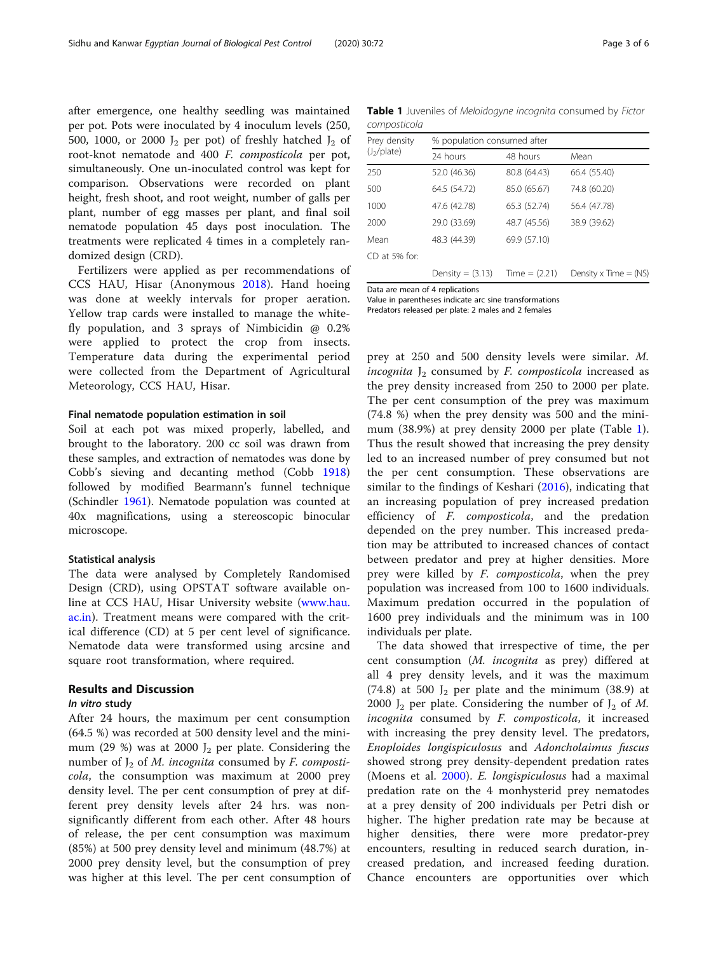after emergence, one healthy seedling was maintained per pot. Pots were inoculated by 4 inoculum levels (250, 500, 1000, or 2000  $J_2$  per pot) of freshly hatched  $J_2$  of root-knot nematode and 400 F. composticola per pot, simultaneously. One un-inoculated control was kept for comparison. Observations were recorded on plant height, fresh shoot, and root weight, number of galls per plant, number of egg masses per plant, and final soil nematode population 45 days post inoculation. The treatments were replicated 4 times in a completely randomized design (CRD).

Fertilizers were applied as per recommendations of CCS HAU, Hisar (Anonymous [2018](#page-5-0)). Hand hoeing was done at weekly intervals for proper aeration. Yellow trap cards were installed to manage the whitefly population, and 3 sprays of Nimbicidin @ 0.2% were applied to protect the crop from insects. Temperature data during the experimental period were collected from the Department of Agricultural Meteorology, CCS HAU, Hisar.

## Final nematode population estimation in soil

Soil at each pot was mixed properly, labelled, and brought to the laboratory. 200 cc soil was drawn from these samples, and extraction of nematodes was done by Cobb's sieving and decanting method (Cobb [1918](#page-5-0)) followed by modified Bearmann's funnel technique (Schindler [1961](#page-5-0)). Nematode population was counted at 40x magnifications, using a stereoscopic binocular microscope.

## Statistical analysis

The data were analysed by Completely Randomised Design (CRD), using OPSTAT software available online at CCS HAU, Hisar University website ([www.hau.](http://www.hau.ac.in) [ac.in](http://www.hau.ac.in)). Treatment means were compared with the critical difference (CD) at 5 per cent level of significance. Nematode data were transformed using arcsine and square root transformation, where required.

## Results and Discussion

## In vitro study

After 24 hours, the maximum per cent consumption (64.5 %) was recorded at 500 density level and the minimum (29 %) was at 2000  $J_2$  per plate. Considering the number of  $J_2$  of *M. incognita* consumed by *F. composti*cola, the consumption was maximum at 2000 prey density level. The per cent consumption of prey at different prey density levels after 24 hrs. was nonsignificantly different from each other. After 48 hours of release, the per cent consumption was maximum (85%) at 500 prey density level and minimum (48.7%) at 2000 prey density level, but the consumption of prey was higher at this level. The per cent consumption of

Table 1 Juveniles of Meloidogyne incognita consumed by Fictor composticola

| Prey density<br>(J <sub>2</sub> /plate) | % population consumed after |                 |                         |  |
|-----------------------------------------|-----------------------------|-----------------|-------------------------|--|
|                                         | 24 hours                    | 48 hours        | Mean                    |  |
| 250                                     | 52.0 (46.36)                | 80.8 (64.43)    | 66.4 (55.40)            |  |
| 500                                     | 64.5 (54.72)                | 85.0 (65.67)    | 74.8 (60.20)            |  |
| 1000                                    | 47.6 (42.78)                | 65.3 (52.74)    | 56.4 (47.78)            |  |
| 2000                                    | 29.0 (33.69)                | 48.7 (45.56)    | 38.9 (39.62)            |  |
| Mean                                    | 48.3 (44.39)                | 69.9 (57.10)    |                         |  |
| CD at 5% for:                           |                             |                 |                         |  |
|                                         | Density $=$ $(3.13)$        | Time $= (2.21)$ | Density $x$ Time = (NS) |  |

Data are mean of 4 replications

Value in parentheses indicate arc sine transformations

Predators released per plate: 2 males and 2 females

prey at 250 and 500 density levels were similar. M. incognita  $J_2$  consumed by F. composticola increased as the prey density increased from 250 to 2000 per plate. The per cent consumption of the prey was maximum (74.8 %) when the prey density was 500 and the minimum (38.9%) at prey density 2000 per plate (Table 1). Thus the result showed that increasing the prey density led to an increased number of prey consumed but not the per cent consumption. These observations are similar to the findings of Keshari [\(2016](#page-5-0)), indicating that an increasing population of prey increased predation efficiency of *F. composticola*, and the predation depended on the prey number. This increased predation may be attributed to increased chances of contact between predator and prey at higher densities. More prey were killed by *F. composticola*, when the prey population was increased from 100 to 1600 individuals. Maximum predation occurred in the population of 1600 prey individuals and the minimum was in 100 individuals per plate.

The data showed that irrespective of time, the per cent consumption (M. incognita as prey) differed at all 4 prey density levels, and it was the maximum (74.8) at 500  $J_2$  per plate and the minimum (38.9) at 2000  $J_2$  per plate. Considering the number of  $J_2$  of M. incognita consumed by F. composticola, it increased with increasing the prey density level. The predators, Enoploides longispiculosus and Adoncholaimus fuscus showed strong prey density-dependent predation rates (Moens et al. [2000\)](#page-5-0). E. longispiculosus had a maximal predation rate on the 4 monhysterid prey nematodes at a prey density of 200 individuals per Petri dish or higher. The higher predation rate may be because at higher densities, there were more predator-prey encounters, resulting in reduced search duration, increased predation, and increased feeding duration. Chance encounters are opportunities over which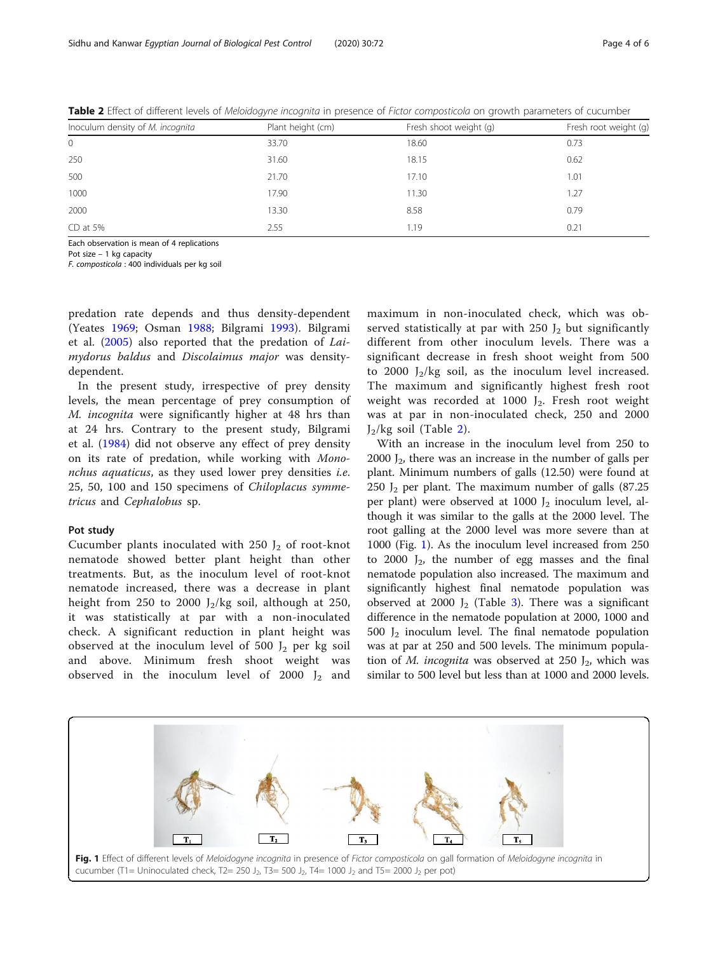| Inoculum density of M. incognita | Plant height (cm) | Fresh shoot weight (g) | Fresh root weight (g) |
|----------------------------------|-------------------|------------------------|-----------------------|
| 0                                | 33.70             | 18.60                  | 0.73                  |
| 250                              | 31.60             | 18.15                  | 0.62                  |
| 500                              | 21.70             | 17.10                  | 1.01                  |
| 1000                             | 17.90             | 11.30                  | 1.27                  |
| 2000                             | 13.30             | 8.58                   | 0.79                  |
| CD at 5%                         | 2.55              | 1.19                   | 0.21                  |

Table 2 Effect of different levels of Meloidogyne incognita in presence of Fictor composticola on growth parameters of cucumber

Each observation is mean of 4 replications

Pot size – 1 kg capacity

F. composticola : 400 individuals per kg soil

predation rate depends and thus density-dependent (Yeates [1969](#page-5-0); Osman [1988;](#page-5-0) Bilgrami [1993](#page-5-0)). Bilgrami et al. ([2005\)](#page-5-0) also reported that the predation of Laimydorus baldus and Discolaimus major was densitydependent.

In the present study, irrespective of prey density levels, the mean percentage of prey consumption of M. incognita were significantly higher at 48 hrs than at 24 hrs. Contrary to the present study, Bilgrami et al. ([1984\)](#page-5-0) did not observe any effect of prey density on its rate of predation, while working with Mononchus aquaticus, as they used lower prey densities i.e. 25, 50, 100 and 150 specimens of Chiloplacus symmetricus and Cephalobus sp.

## Pot study

Cucumber plants inoculated with 250  $J_2$  of root-knot nematode showed better plant height than other treatments. But, as the inoculum level of root-knot nematode increased, there was a decrease in plant height from 250 to 2000  $J_2/kg$  soil, although at 250, it was statistically at par with a non-inoculated check. A significant reduction in plant height was observed at the inoculum level of 500  $J_2$  per kg soil and above. Minimum fresh shoot weight was observed in the inoculum level of 2000  $J_2$  and

maximum in non-inoculated check, which was observed statistically at par with 250  $J_2$  but significantly different from other inoculum levels. There was a significant decrease in fresh shoot weight from 500 to 2000  $J_2/kg$  soil, as the inoculum level increased. The maximum and significantly highest fresh root weight was recorded at  $1000$  J<sub>2</sub>. Fresh root weight was at par in non-inoculated check, 250 and 2000  $J_2/kg$  soil (Table 2).

With an increase in the inoculum level from 250 to 2000  $J_2$ , there was an increase in the number of galls per plant. Minimum numbers of galls (12.50) were found at 250  $J_2$  per plant. The maximum number of galls (87.25) per plant) were observed at 1000  $J_2$  inoculum level, although it was similar to the galls at the 2000 level. The root galling at the 2000 level was more severe than at 1000 (Fig. 1). As the inoculum level increased from 250 to 2000  $J_2$ , the number of egg masses and the final nematode population also increased. The maximum and significantly highest final nematode population was observed at 2000  $J_2$  (Table [3](#page-4-0)). There was a significant difference in the nematode population at 2000, 1000 and 500  $J_2$  inoculum level. The final nematode population was at par at 250 and 500 levels. The minimum population of M. incognita was observed at 250  $J_2$ , which was similar to 500 level but less than at 1000 and 2000 levels.

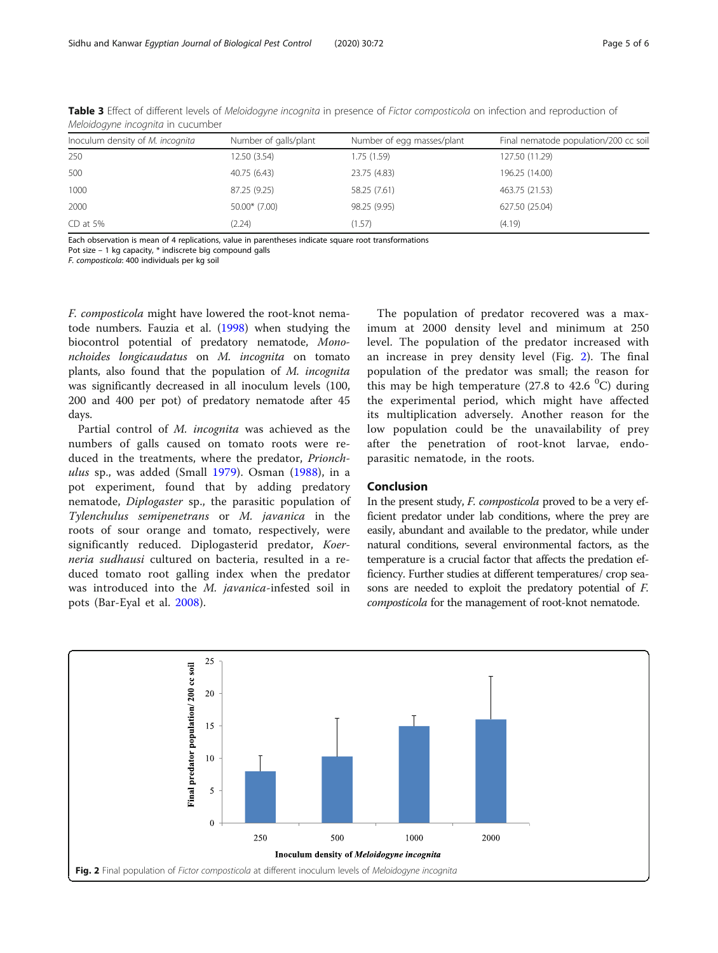| Inoculum density of M. incognita | Number of galls/plant | Number of egg masses/plant | Final nematode population/200 cc soil |
|----------------------------------|-----------------------|----------------------------|---------------------------------------|
| 250                              | 12.50 (3.54)          | 1.75 (1.59)                | 127.50 (11.29)                        |
| 500                              | 40.75 (6.43)          | 23.75 (4.83)               | 196.25 (14.00)                        |
| 1000                             | 87.25 (9.25)          | 58.25 (7.61)               | 463.75 (21.53)                        |
| 2000                             | $50.00*$ (7.00)       | 98.25 (9.95)               | 627.50 (25.04)                        |
| $CD$ at 5%                       | (2.24)                | (1.57)                     | (4.19)                                |

<span id="page-4-0"></span>Table 3 Effect of different levels of Meloidogyne incognita in presence of Fictor composticola on infection and reproduction of Meloidogyne incognita in cucumber

Each observation is mean of 4 replications, value in parentheses indicate square root transformations

Pot size – 1 kg capacity, \* indiscrete big compound galls

F. composticola: 400 individuals per kg soil

F. composticola might have lowered the root-knot nematode numbers. Fauzia et al. [\(1998](#page-5-0)) when studying the biocontrol potential of predatory nematode, Mononchoides longicaudatus on M. incognita on tomato plants, also found that the population of M. incognita was significantly decreased in all inoculum levels (100, 200 and 400 per pot) of predatory nematode after 45 days.

Partial control of M. incognita was achieved as the numbers of galls caused on tomato roots were reduced in the treatments, where the predator, Prionch-ulus sp., was added (Small [1979](#page-5-0)). Osman  $(1988)$  $(1988)$ , in a pot experiment, found that by adding predatory nematode, Diplogaster sp., the parasitic population of Tylenchulus semipenetrans or M. javanica in the roots of sour orange and tomato, respectively, were significantly reduced. Diplogasterid predator, Koerneria sudhausi cultured on bacteria, resulted in a reduced tomato root galling index when the predator was introduced into the M. javanica-infested soil in pots (Bar-Eyal et al. [2008](#page-5-0)).

The population of predator recovered was a maximum at 2000 density level and minimum at 250 level. The population of the predator increased with an increase in prey density level (Fig. 2). The final population of the predator was small; the reason for this may be high temperature (27.8 to 42.6  $^0C$ ) during the experimental period, which might have affected its multiplication adversely. Another reason for the low population could be the unavailability of prey after the penetration of root-knot larvae, endoparasitic nematode, in the roots.

## Conclusion

In the present study, F. composticola proved to be a very efficient predator under lab conditions, where the prey are easily, abundant and available to the predator, while under natural conditions, several environmental factors, as the temperature is a crucial factor that affects the predation efficiency. Further studies at different temperatures/ crop seasons are needed to exploit the predatory potential of F. composticola for the management of root-knot nematode.